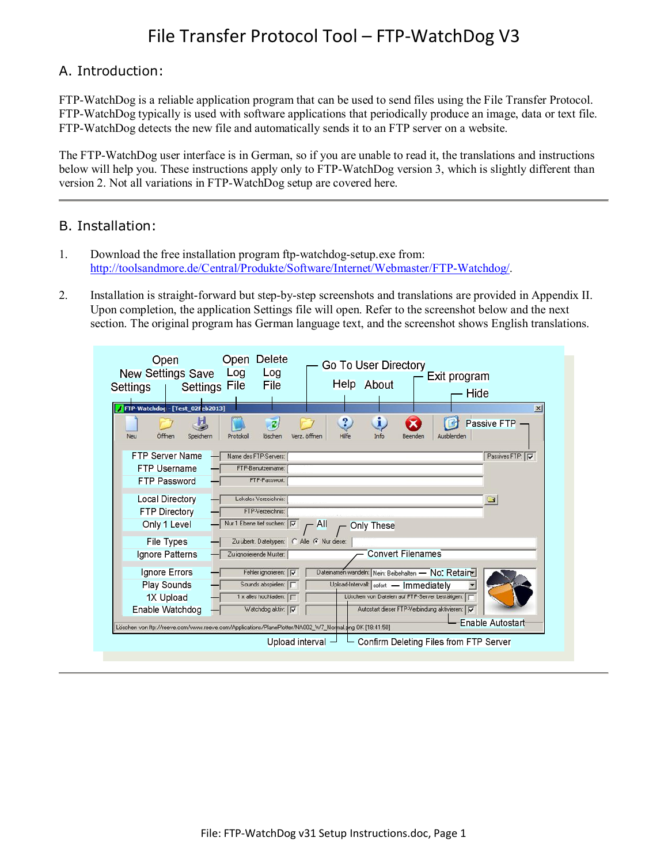#### A. Introduction:

FTP-WatchDog is a reliable application program that can be used to send files using the File Transfer Protocol. FTP-WatchDog typically is used with software applications that periodically produce an image, data or text file. FTP-WatchDog detects the new file and automatically sends it to an FTP server on a website.

The FTP-WatchDog user interface is in German, so if you are unable to read it, the translations and instructions below will help you. These instructions apply only to FTP-WatchDog version 3, which is slightly different than version 2. Not all variations in FTP-WatchDog setup are covered here.

#### B. Installation:

- 1. Download the free installation program ftp-watchdog-setup.exe from: http://toolsandmore.de/Central/Produkte/Software/Internet/Webmaster/FTP-Watchdog/.
- 2. Installation is straight-forward but step-by-step screenshots and translations are provided in Appendix II. Upon completion, the application Settings file will open. Refer to the screenshot below and the next section. The original program has German language text, and the screenshot shows English translations.

| Open<br><b>New Settings Save</b><br><b>Settings File</b><br>Settings<br>FTP-Watchdog - [Test_02Feb2013] | Open Delete<br><b>Go To User Directory</b><br>Log<br>Log<br>Exit program<br>Help About<br><b>File</b><br>Hide<br>$\boldsymbol{\mathsf{x}}$ |
|---------------------------------------------------------------------------------------------------------|--------------------------------------------------------------------------------------------------------------------------------------------|
| Offnen<br><b>Neu</b><br>Speichern                                                                       | i<br>?<br>Passive FTP -<br>Hilfe<br>Protokoll<br>Verz, öffnen<br>Info<br>löschen<br>Ausblenden<br>Beender                                  |
| <b>FTP Server Name</b>                                                                                  | Name des FTP-Servers:<br>Passives FTP: V                                                                                                   |
| <b>FTP Username</b>                                                                                     | FTP-Benutzername:                                                                                                                          |
| <b>FTP Password</b>                                                                                     | FTP-Passwort:                                                                                                                              |
| <b>Local Directory</b>                                                                                  | Lokales Verzeichnis:<br>G                                                                                                                  |
| <b>FTP Directory</b>                                                                                    | FTP-Verzeichnis:                                                                                                                           |
| Only 1 Level                                                                                            | Nur 1 Ebene tief suchen: V<br>$\overline{A}$<br>Only These                                                                                 |
| <b>File Types</b>                                                                                       | Zu übertr. Dateitypen: C Alle G Nur diese:                                                                                                 |
| Ignore Patterns                                                                                         | Convert Filenames<br>Zu ignorierende Muster:                                                                                               |
| Ignore Errors                                                                                           | Fehler ignorieren: V<br>Dateinamen wandeln: Nein: Beibehalten - No. Retain                                                                 |
| <b>Play Sounds</b>                                                                                      | Sounds abspielen: F<br>Upload-Intervall: sofort - Immediately                                                                              |
| 1X Upload                                                                                               | 1 x alles hochladen:  <br>Löschen von Dateien auf FTP-Server bestätigen:                                                                   |
| Enable Watchdog                                                                                         | Watchdog aktiv: V<br>Autostart dieser FTP-Verbindung aktivieren: IV                                                                        |
|                                                                                                         | Enable Autostart<br>Löschen von ftp://reeve.com/www.reeve.com/Applications/PlanePlotter/NA002_W7_Normal.png OK [18:41:50]                  |
|                                                                                                         |                                                                                                                                            |
|                                                                                                         | Upload interval $ -$ Confirm Deleting Files from FTP Server                                                                                |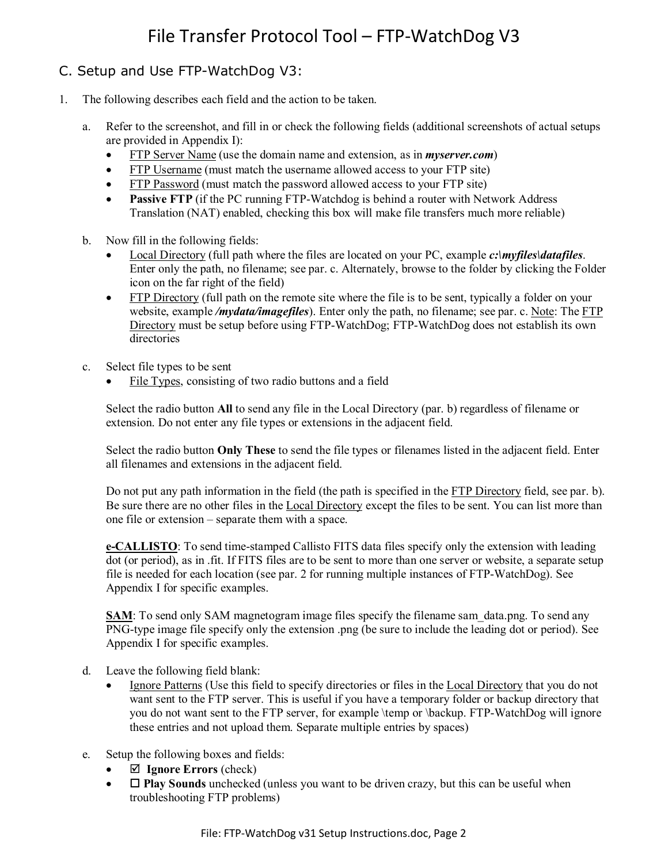#### C. Setup and Use FTP-WatchDog V3:

- 1. The following describes each field and the action to be taken.
	- a. Refer to the screenshot, and fill in or check the following fields (additional screenshots of actual setups are provided in Appendix I):
		- FTP Server Name (use the domain name and extension, as in *myserver.com*)
		- FTP Username (must match the username allowed access to your FTP site)
		- FTP Password (must match the password allowed access to your FTP site)
		- **Passive FTP** (if the PC running FTP-Watchdog is behind a router with Network Address Translation (NAT) enabled, checking this box will make file transfers much more reliable)
	- b. Now fill in the following fields:
		- Local Directory (full path where the files are located on your PC, example *c:\myfiles\datafiles*. Enter only the path, no filename; see par. c. Alternately, browse to the folder by clicking the Folder icon on the far right of the field)
		- FTP Directory (full path on the remote site where the file is to be sent, typically a folder on your website, example */mydata/imagefiles*). Enter only the path, no filename; see par. c. Note: The FTP Directory must be setup before using FTP-WatchDog; FTP-WatchDog does not establish its own directories
	- c. Select file types to be sent
		- File Types, consisting of two radio buttons and a field

Select the radio button **All** to send any file in the Local Directory (par. b) regardless of filename or extension. Do not enter any file types or extensions in the adjacent field.

Select the radio button **Only These** to send the file types or filenames listed in the adjacent field. Enter all filenames and extensions in the adjacent field.

Do not put any path information in the field (the path is specified in the FTP Directory field, see par. b). Be sure there are no other files in the Local Directory except the files to be sent. You can list more than one file or extension – separate them with a space.

**e-CALLISTO**: To send time-stamped Callisto FITS data files specify only the extension with leading dot (or period), as in .fit. If FITS files are to be sent to more than one server or website, a separate setup file is needed for each location (see par. 2 for running multiple instances of FTP-WatchDog). See Appendix I for specific examples.

**SAM**: To send only SAM magnetogram image files specify the filename sam data.png. To send any PNG-type image file specify only the extension .png (be sure to include the leading dot or period). See Appendix I for specific examples.

- d. Leave the following field blank:
	- Ignore Patterns (Use this field to specify directories or files in the Local Directory that you do not want sent to the FTP server. This is useful if you have a temporary folder or backup directory that you do not want sent to the FTP server, for example \temp or \backup. FTP-WatchDog will ignore these entries and not upload them. Separate multiple entries by spaces)
- e. Setup the following boxes and fields:
	- **Ignore Errors** (check)
	- $\Box$  **Play Sounds** unchecked (unless you want to be driven crazy, but this can be useful when troubleshooting FTP problems)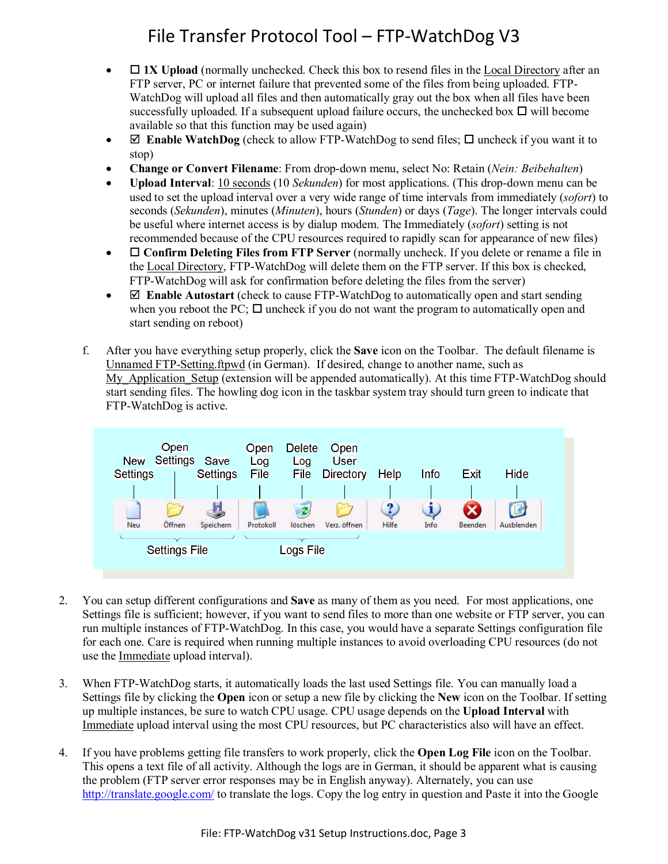- **1X Upload** (normally unchecked. Check this box to resend files in the Local Directory after an FTP server, PC or internet failure that prevented some of the files from being uploaded. FTP-WatchDog will upload all files and then automatically gray out the box when all files have been successfully uploaded. If a subsequent upload failure occurs, the unchecked box  $\Box$  will become available so that this function may be used again)
- **Enable WatchDog** (check to allow FTP-WatchDog to send files;  $\Box$  uncheck if you want it to stop)
- **Change or Convert Filename**: From drop-down menu, select No: Retain (*Nein: Beibehalten*)
- **Upload Interval**: 10 seconds (10 *Sekunden*) for most applications. (This drop-down menu can be used to set the upload interval over a very wide range of time intervals from immediately (*sofort*) to seconds (*Sekunden*), minutes (*Minuten*), hours (*Stunden*) or days (*Tage*). The longer intervals could be useful where internet access is by dialup modem. The Immediately (*sofort*) setting is not recommended because of the CPU resources required to rapidly scan for appearance of new files)
- **•** □ Confirm Deleting Files from FTP Server (normally uncheck. If you delete or rename a file in the Local Directory, FTP-WatchDog will delete them on the FTP server. If this box is checked, FTP-WatchDog will ask for confirmation before deleting the files from the server)
- **Enable Autostart** (check to cause FTP-WatchDog to automatically open and start sending when you reboot the PC;  $\Box$  uncheck if you do not want the program to automatically open and start sending on reboot)
- f. After you have everything setup properly, click the **Save** icon on the Toolbar. The default filename is Unnamed FTP-Setting.ftpwd (in German). If desired, change to another name, such as My Application Setup (extension will be appended automatically). At this time FTP-WatchDog should start sending files. The howling dog icon in the taskbar system tray should turn green to indicate that FTP-WatchDog is active.



- 2. You can setup different configurations and **Save** as many of them as you need. For most applications, one Settings file is sufficient; however, if you want to send files to more than one website or FTP server, you can run multiple instances of FTP-WatchDog. In this case, you would have a separate Settings configuration file for each one. Care is required when running multiple instances to avoid overloading CPU resources (do not use the Immediate upload interval).
- 3. When FTP-WatchDog starts, it automatically loads the last used Settings file. You can manually load a Settings file by clicking the **Open** icon or setup a new file by clicking the **New** icon on the Toolbar. If setting up multiple instances, be sure to watch CPU usage. CPU usage depends on the **Upload Interval** with Immediate upload interval using the most CPU resources, but PC characteristics also will have an effect.
- 4. If you have problems getting file transfers to work properly, click the **Open Log File** icon on the Toolbar. This opens a text file of all activity. Although the logs are in German, it should be apparent what is causing the problem (FTP server error responses may be in English anyway). Alternately, you can use http://translate.google.com/ to translate the logs. Copy the log entry in question and Paste it into the Google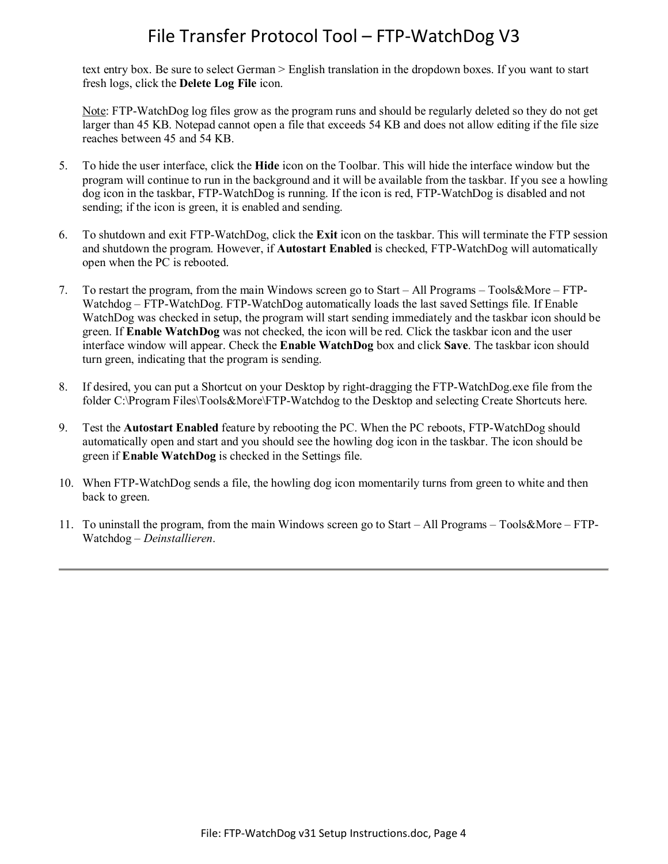text entry box. Be sure to select German > English translation in the dropdown boxes. If you want to start fresh logs, click the **Delete Log File** icon.

Note: FTP-WatchDog log files grow as the program runs and should be regularly deleted so they do not get larger than 45 KB. Notepad cannot open a file that exceeds 54 KB and does not allow editing if the file size reaches between 45 and 54 KB.

- 5. To hide the user interface, click the **Hide** icon on the Toolbar. This will hide the interface window but the program will continue to run in the background and it will be available from the taskbar. If you see a howling dog icon in the taskbar, FTP-WatchDog is running. If the icon is red, FTP-WatchDog is disabled and not sending; if the icon is green, it is enabled and sending.
- 6. To shutdown and exit FTP-WatchDog, click the **Exit** icon on the taskbar. This will terminate the FTP session and shutdown the program. However, if **Autostart Enabled** is checked, FTP-WatchDog will automatically open when the PC is rebooted.
- 7. To restart the program, from the main Windows screen go to Start All Programs Tools&More FTP-Watchdog – FTP-WatchDog. FTP-WatchDog automatically loads the last saved Settings file. If Enable WatchDog was checked in setup, the program will start sending immediately and the taskbar icon should be green. If **Enable WatchDog** was not checked, the icon will be red. Click the taskbar icon and the user interface window will appear. Check the **Enable WatchDog** box and click **Save**. The taskbar icon should turn green, indicating that the program is sending.
- 8. If desired, you can put a Shortcut on your Desktop by right-dragging the FTP-WatchDog.exe file from the folder C:\Program Files\Tools&More\FTP-Watchdog to the Desktop and selecting Create Shortcuts here.
- 9. Test the **Autostart Enabled** feature by rebooting the PC. When the PC reboots, FTP-WatchDog should automatically open and start and you should see the howling dog icon in the taskbar. The icon should be green if **Enable WatchDog** is checked in the Settings file.
- 10. When FTP-WatchDog sends a file, the howling dog icon momentarily turns from green to white and then back to green.
- 11. To uninstall the program, from the main Windows screen go to Start All Programs Tools&More FTP-Watchdog – *Deinstallieren*.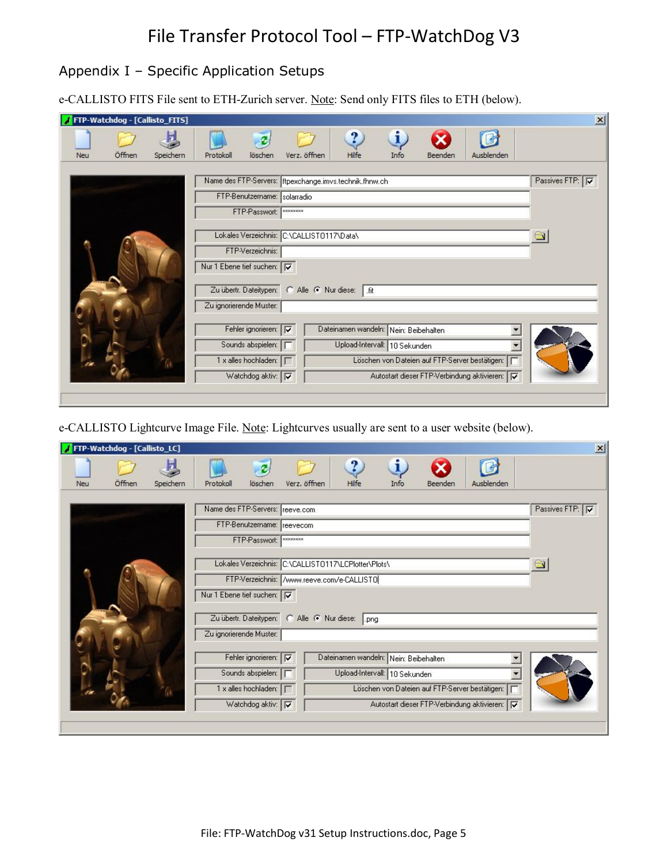#### Appendix I – Specific Application Setups

e-CALLISTO FITS File sent to ETH-Zurich server. Note: Send only FITS files to ETH (below).

|     | FTP-Watchdog - [Callisto_FITS] |           |                                                                            |                                           |                  |                                                        |                               |         |                                                |                 |
|-----|--------------------------------|-----------|----------------------------------------------------------------------------|-------------------------------------------|------------------|--------------------------------------------------------|-------------------------------|---------|------------------------------------------------|-----------------|
| Neu | Öffnen                         | Speichern | Protokoll                                                                  | löschen                                   | Verz, öffnen     | ?<br>Hilfe                                             | i<br>Info                     | Beenden | Ausblenden                                     |                 |
|     |                                |           |                                                                            |                                           |                  |                                                        |                               |         |                                                |                 |
|     |                                |           |                                                                            |                                           |                  | Name des FTP-Servers: ftpexchange.imvs.technik.fhnw.ch |                               |         |                                                | Passives FTP: V |
|     |                                |           |                                                                            | FTP-Benutzername: solarradio              |                  |                                                        |                               |         |                                                |                 |
|     |                                |           |                                                                            | FTP-Passwort:                             | <b>xxxxxxxxx</b> |                                                        |                               |         |                                                |                 |
|     |                                |           |                                                                            |                                           |                  |                                                        |                               |         |                                                |                 |
|     |                                |           |                                                                            | Lokales Verzeichnis: C:\CALLIST0117\Data\ |                  |                                                        |                               |         |                                                |                 |
|     |                                |           |                                                                            | FTP-Verzeichnis:                          |                  |                                                        |                               |         |                                                |                 |
|     |                                |           | Nur 1 Ebene tief suchen: TV                                                |                                           |                  |                                                        |                               |         |                                                |                 |
|     |                                |           |                                                                            |                                           |                  |                                                        |                               |         |                                                |                 |
|     |                                |           |                                                                            |                                           |                  |                                                        |                               |         |                                                |                 |
|     |                                |           | Zu übertr. Dateitypen: C Alle C Nur diese:  fit<br>Zu ignorierende Muster: |                                           |                  |                                                        |                               |         |                                                |                 |
|     |                                |           |                                                                            |                                           |                  |                                                        |                               |         |                                                |                 |
|     |                                |           |                                                                            | Fehler ignorieren: V                      |                  | Dateinamen wandeln: Nein: Beibehalten                  |                               |         |                                                |                 |
|     |                                |           |                                                                            | Sounds abspielen:                         |                  |                                                        | Upload-Intervall: 10 Sekunden |         |                                                |                 |
|     |                                |           |                                                                            | 1 x alles hochladen:   [                  |                  |                                                        |                               |         | Löschen von Dateien auf FTP-Server bestätigen: |                 |

e-CALLISTO Lightcurve Image File. Note: Lightcurves usually are sent to a user website (below).

| Neu | Öffnen | Speichern | Protokoll               | löschen                                              | Verz. öffnen | ?<br>Hilfe                            | i<br>Info | Beenden | Ausblenden                                     |                 |
|-----|--------|-----------|-------------------------|------------------------------------------------------|--------------|---------------------------------------|-----------|---------|------------------------------------------------|-----------------|
|     |        |           |                         | Name des FTP-Servers: reeve.com                      |              |                                       |           |         |                                                | Passives FTP: V |
|     |        |           |                         |                                                      |              |                                       |           |         |                                                |                 |
|     |        |           |                         | FTP-Benutzername: reevecom                           |              |                                       |           |         |                                                |                 |
|     |        |           |                         | FTP-Passwort:   ********                             |              |                                       |           |         |                                                |                 |
|     |        |           |                         | Lokales Verzeichnis: C:\CALLIST0117\LCPlotter\Plots\ |              |                                       |           |         |                                                |                 |
|     |        |           |                         | FTP-Verzeichnis: /www.reeve.com/e-CALLISTO           |              |                                       |           |         |                                                |                 |
|     |        |           |                         | Nur 1 Ebene tief suchen: V                           |              |                                       |           |         |                                                |                 |
|     |        |           |                         | Zu übertr. Dateitypen: C Alle C Nur diese:  png      |              |                                       |           |         |                                                |                 |
|     |        |           | Zu ignorierende Muster: |                                                      |              |                                       |           |         |                                                |                 |
|     |        |           |                         | Fehler ignorieren: V                                 |              | Dateinamen wandeln: Nein: Beibehalten |           |         |                                                |                 |
|     |        |           |                         | Sounds abspielen: F                                  |              | Upload-Intervall: 10 Sekunden         |           |         |                                                |                 |
|     |        |           |                         |                                                      |              |                                       |           |         | Löschen von Dateien auf FTP-Server bestätigen: |                 |
|     |        |           |                         | 1 x alles hochladen:                                 |              |                                       |           |         |                                                |                 |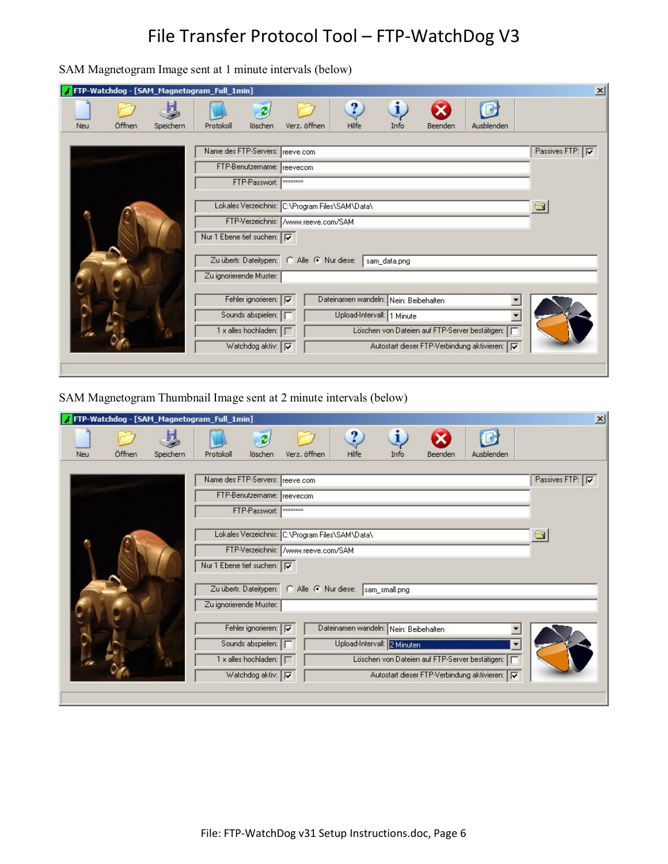SAM Magnetogram Image sent at 1 minute intervals (below)

| / FTP-Watchdog - [SAM_Magnetogram_Full_1min] |                                 | $\mathbf{x}$                                                              |
|----------------------------------------------|---------------------------------|---------------------------------------------------------------------------|
| Öffnen<br>Speichern<br>Neu                   | löschen<br>Protokoll            | i<br>$\ddot{ }$<br>Verz. öffnen<br>Hilfe<br>Ausblenden<br>Info<br>Beenden |
|                                              | Name des FTP-Servers: reeve.com | Passives FTP: V                                                           |
|                                              | FTP-Benutzername: reevecom      |                                                                           |
|                                              | FTP-Passwort:                   | <b>xxxxxxxxx</b>                                                          |
|                                              |                                 | Lokales Verzeichnis: C:\Program Files\SAM\Data\                           |
|                                              |                                 | FTP-Verzeichnis: /www.reeve.com/SAM                                       |
|                                              | Nur 1 Ebene tief suchen: TV     |                                                                           |
|                                              |                                 | Zu übertr. Dateitypen: C Alle C Nur diese:<br>sam_data.png                |
|                                              | Zu ignorierende Muster:         |                                                                           |
|                                              | Fehler ignorieren: V            | Dateinamen wandeln: Nein: Beibehalten                                     |
|                                              | Sounds abspielen: F             | Upload-Intervall: 1 Minute                                                |
|                                              | 1 x alles hochladen:            | Löschen von Dateien auf FTP-Server bestätigen:                            |
|                                              | Watchdog aktiv: V               | Autostart dieser FTP-Verbindung aktivieren: F                             |
|                                              |                                 |                                                                           |

SAM Magnetogram Thumbnail Image sent at 2 minute intervals (below)

|     |        |           | TFTP-Watchdog - [SAM_Magnetogram_Full_1min] |                          |                                            |                                                 |               |         |                                                 | $\mathbf{x}$                   |
|-----|--------|-----------|---------------------------------------------|--------------------------|--------------------------------------------|-------------------------------------------------|---------------|---------|-------------------------------------------------|--------------------------------|
| Neu | Öffnen | Speichern | Protokoll                                   | löschen                  | Verz. öffnen                               | ?<br>Hilfe                                      | i<br>Info     | Beenden | Ausblenden                                      |                                |
|     |        |           | Name des FTP-Servers: reeve.com             |                          |                                            |                                                 |               |         |                                                 | Passives FTP: $\boxed{\nabla}$ |
|     |        |           | FTP-Benutzername: reevecom                  |                          |                                            |                                                 |               |         |                                                 |                                |
|     |        |           |                                             | FTP-Passwort:   ******** |                                            |                                                 |               |         |                                                 |                                |
|     |        |           |                                             |                          |                                            | Lokales Verzeichnis: C:\Program Files\SAM\Data\ |               |         |                                                 |                                |
|     |        |           |                                             |                          | FTP-Verzeichnis: /www.reeve.com/SAM        |                                                 |               |         |                                                 |                                |
|     |        |           | Nur 1 Ebene tief suchen: TV                 |                          |                                            |                                                 |               |         |                                                 |                                |
|     |        |           |                                             |                          | Zu übertr. Dateitypen: C Alle C Nur diese: |                                                 | sam_small.png |         |                                                 |                                |
|     |        |           | Zu ignorierende Muster:                     |                          |                                            |                                                 |               |         |                                                 |                                |
|     |        |           |                                             | Fehler ignorieren: V     |                                            | Dateinamen wandeln: Nein: Beibehalten           |               |         |                                                 |                                |
|     |        |           |                                             | Sounds abspielen:        |                                            | Upload-Intervall: 2 Minuten                     |               |         |                                                 |                                |
|     |        |           | 1 x alles hochladen:                        |                          |                                            |                                                 |               |         | Löschen von Dateien auf FTP-Server bestätigen:  |                                |
|     |        |           |                                             | Watchdog aktiv: V        |                                            |                                                 |               |         | Autostart dieser FTP-Verbindung aktivieren:   V |                                |
|     |        |           |                                             |                          |                                            |                                                 |               |         |                                                 |                                |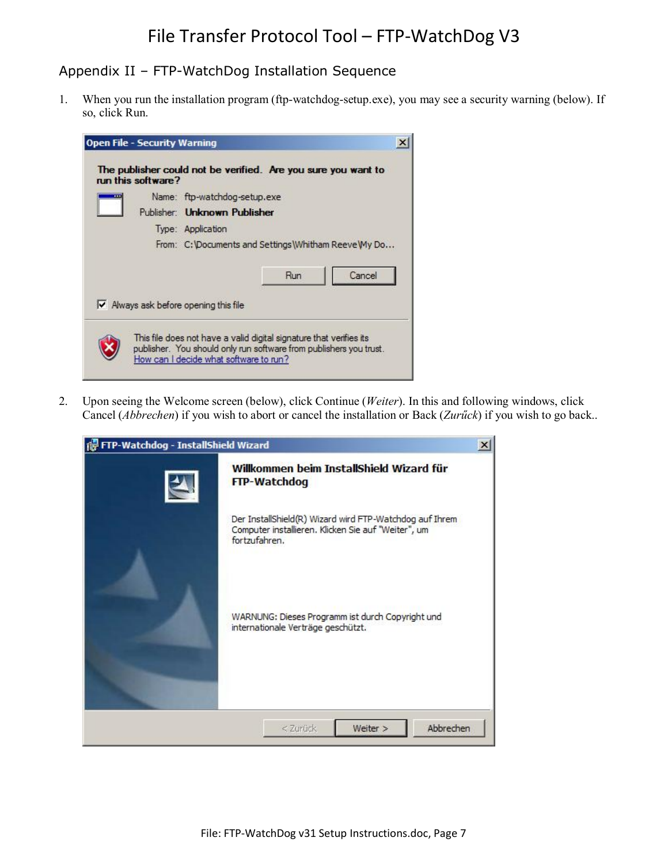#### Appendix II – FTP-WatchDog Installation Sequence

1. When you run the installation program (ftp-watchdog-setup.exe), you may see a security warning (below). If so, click Run.

|  | Name: ftp-watchdog-setup.exe                         |
|--|------------------------------------------------------|
|  | Publisher: Unknown Publisher                         |
|  | Type: Application                                    |
|  | From: C: Documents and Settings Whitham Reeve My Do  |
|  | Cancel<br>Run                                        |
|  | $\triangleright$ Always ask before opening this file |

2. Upon seeing the Welcome screen (below), click Continue (*Weiter*). In this and following windows, click Cancel (*Abbrechen*) if you wish to abort or cancel the installation or Back (*Zurűck*) if you wish to go back..

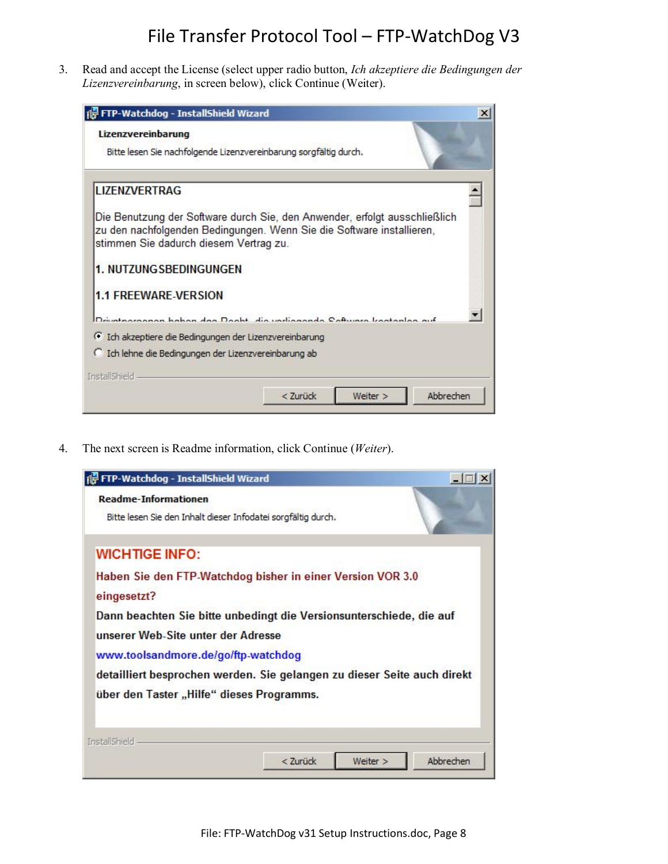3. Read and accept the License (select upper radio button, *Ich akzeptiere die Bedingungen der Lizenzvereinbarung*, in screen below), click Continue (Weiter).



4. The next screen is Readme information, click Continue (*Weiter*).

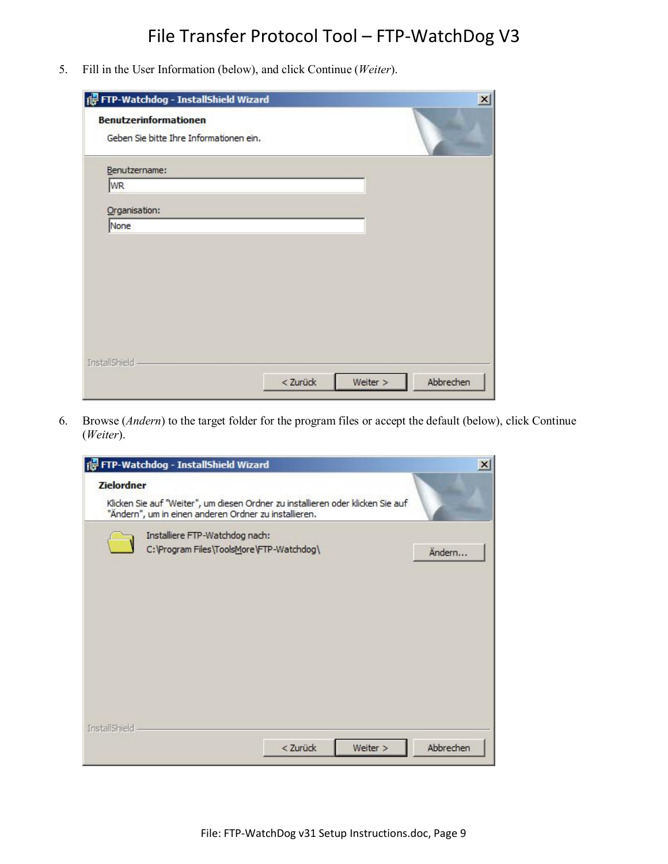5. Fill in the User Information (below), and click Continue (*Weiter*).

| FTP-Watchdog - InstallShield Wizard                                     |          |          | $\vert x \vert$ |
|-------------------------------------------------------------------------|----------|----------|-----------------|
| <b>Benutzerinformationen</b><br>Geben Sie bitte Ihre Informationen ein. |          |          |                 |
| Benutzername:                                                           |          |          |                 |
| WR                                                                      |          |          |                 |
| Organisation:                                                           |          |          |                 |
| None                                                                    |          |          |                 |
|                                                                         |          |          |                 |
|                                                                         |          |          |                 |
|                                                                         |          |          |                 |
|                                                                         |          |          |                 |
|                                                                         |          |          |                 |
|                                                                         |          |          |                 |
| InstallShield                                                           |          |          |                 |
|                                                                         | < Zurück | Weiter > | Abbrechen       |

6. Browse (*Andern*) to the target folder for the program files or accept the default (below), click Continue (*Weiter*).

|                   | FTP-Watchdog - InstallShield Wizard                                                                                                      | x |
|-------------------|------------------------------------------------------------------------------------------------------------------------------------------|---|
| <b>Zielordner</b> | Klicken Sie auf "Weiter", um diesen Ordner zu installieren oder klicken Sie auf<br>"Ändern", um in einen anderen Ordner zu installieren. |   |
|                   | Installiere FTP-Watchdog nach:<br>C: \Program Files\ToolsMore\FTP-Watchdog\<br>Ändern                                                    |   |
| InstallShield     | < Zurück<br>Abbrechen<br>Weiter >                                                                                                        |   |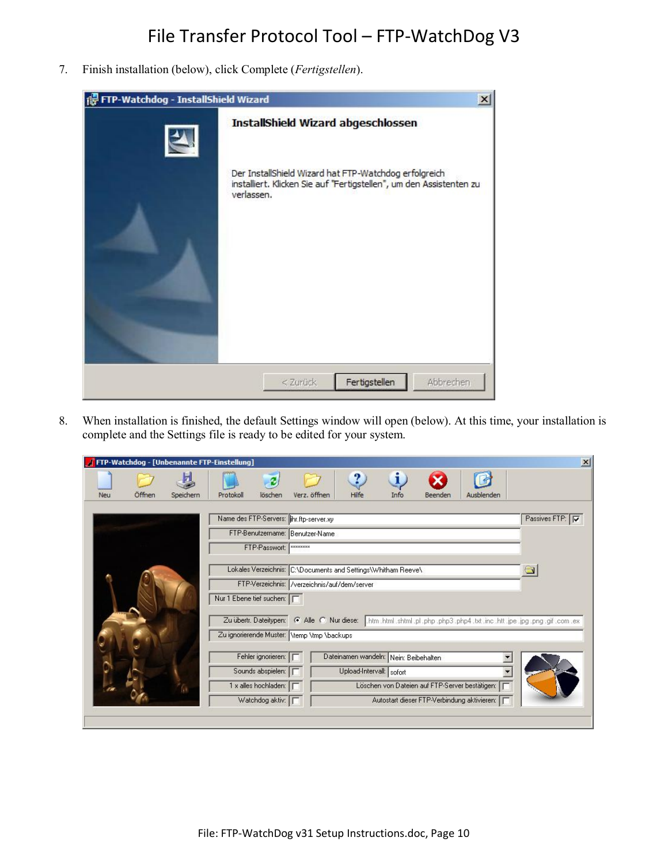7. Finish installation (below), click Complete (*Fertigstellen*).

| FTP-Watchdog - InstallShield Wizard | $\boldsymbol{\mathsf{x}}$                                                                                                                  |
|-------------------------------------|--------------------------------------------------------------------------------------------------------------------------------------------|
|                                     | InstallShield Wizard abgeschlossen                                                                                                         |
|                                     | Der InstallShield Wizard hat FTP-Watchdog erfolgreich<br>installiert. Klicken Sie auf "Fertigstellen", um den Assistenten zu<br>verlassen. |
|                                     | Fertigstellen<br>Abbrechen<br>$<$ Zurück                                                                                                   |

8. When installation is finished, the default Settings window will open (below). At this time, your installation is complete and the Settings file is ready to be edited for your system.

|            |        |           | FTP-Watchdog - [Unbenannte FTP-Einstellung] |                          |                                              |                                                               |           |         |                                                | $\mathbf{x}$                                                                                                                 |
|------------|--------|-----------|---------------------------------------------|--------------------------|----------------------------------------------|---------------------------------------------------------------|-----------|---------|------------------------------------------------|------------------------------------------------------------------------------------------------------------------------------|
| <b>Neu</b> | Öffnen | Speichern | Protokoll                                   | löschen                  | Verz. öffnen                                 | ?<br>Hilfe                                                    | i<br>Info | Beenden | Ausblenden                                     |                                                                                                                              |
|            |        |           |                                             |                          | Name des FTP-Servers:  ihr.ftp-server.xy     |                                                               |           |         |                                                | Passives FTP: V                                                                                                              |
|            |        |           |                                             | FTP-Passwort:   ******** | FTP-Benutzername: Benutzer-Name              |                                                               |           |         |                                                |                                                                                                                              |
|            |        |           |                                             |                          |                                              |                                                               |           |         |                                                |                                                                                                                              |
|            |        |           |                                             |                          | FTP-Verzeichnis: /verzeichnis/auf/dem/server | Lokales Verzeichnis: C:\Documents and Settings\Whitham Reeve\ |           |         |                                                |                                                                                                                              |
|            |        |           | Nur 1 Ebene tief suchen: F                  |                          |                                              |                                                               |           |         |                                                |                                                                                                                              |
|            |        |           |                                             |                          |                                              |                                                               |           |         |                                                | Zu übertr. Dateitypen: C Alle C Nur diese: htm .html .shtml .pl .php .php3 .php4 .txt .inc .htt .jpe .jpg .png .gif .com .ex |
|            |        |           |                                             |                          | Zu ignorierende Muster: \temp \tmp \backups  |                                                               |           |         |                                                |                                                                                                                              |
|            |        |           |                                             |                          |                                              |                                                               |           |         |                                                |                                                                                                                              |
|            |        |           |                                             | Fehler ignorieren: F     |                                              | Dateinamen wandeln: Nein: Beibehalten                         |           |         |                                                |                                                                                                                              |
|            |        |           |                                             | Sounds abspielen:        |                                              | Upload-Intervall: sofort                                      |           |         |                                                |                                                                                                                              |
|            |        |           |                                             | 1 x alles hochladen:     |                                              |                                                               |           |         | Löschen von Dateien auf FTP-Server bestätigen: |                                                                                                                              |